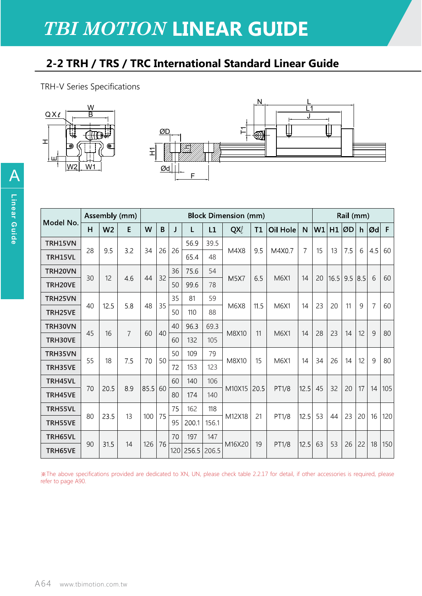## **TBI MOTION LINEAR GUIDE**

## 2-2 TRH / TRS / TRC International Standard Linear Guide

TRH-V Series Specifications



| Model No. | Assembly (mm) |                |                | <b>Block Dimension (mm)</b> |    |    |           |       |        |      |          |                | Rail (mm) |      |     |     |                   |     |
|-----------|---------------|----------------|----------------|-----------------------------|----|----|-----------|-------|--------|------|----------|----------------|-----------|------|-----|-----|-------------------|-----|
|           | H             | W <sub>2</sub> | E              | W                           | B  | J  | L         | L1    | QX     | T1   | Oil Hole | $\mathsf{N}$   | W1        | H1   | ØD  |     | $h   \emptyset d$ | F   |
| TRH15VN   |               |                |                |                             |    | 26 | 56.9      | 39.5  |        |      |          |                |           |      |     |     |                   |     |
| TRH15VL   | 28            | 9.5            | 3.2            | 34                          | 26 |    | 65.4      | 48    | M4X8   | 9.5  | M4X0.7   | $\overline{7}$ | 15        | 13   | 7.5 | 6   | 4.5               | 60  |
| TRH20VN   | 30            | 12             |                | 44                          | 32 | 36 | 75.6      | 54    | M5X7   | 6.5  | M6X1     | 14             | 20        |      | 9.5 | 8.5 | 6                 | 60  |
| TRH20VE   |               |                | 4.6            |                             |    | 50 | 99.6      | 78    |        |      |          |                |           | 16.5 |     |     |                   |     |
| TRH25VN   | 40            | 12.5           | 5.8            | 48                          | 35 | 35 | 81        | 59    | M6X8   | 11.5 | M6X1     | 14             | 23        | 20   | 11  | 9   | 7                 | 60  |
| TRH25VE   |               |                |                |                             |    | 50 | 110       | 88    |        |      |          |                |           |      |     |     |                   |     |
| TRH30VN   | 45            | 16             | $\overline{7}$ | 60                          | 40 | 40 | 96.3      | 69.3  | M8X10  | 11   | M6X1     | 14             | 28        | 23   | 14  | 12  | 9                 | 80  |
| TRH30VE   |               |                |                |                             |    | 60 | 132       | 105   |        |      |          |                |           |      |     |     |                   |     |
| TRH35VN   | 55            | 18             | 7.5            | 70                          | 50 | 50 | 109       | 79    | M8X10  | 15   | M6X1     | 14             | 34        | 26   | 14  | 12  | 9                 | 80  |
| TRH35VE   |               |                |                |                             |    | 72 | 153       | 123   |        |      |          |                |           |      |     |     |                   |     |
| TRH45VL   | 70            | 20.5           | 8.9            | 85.5                        | 60 | 60 | 140       | 106   | M10X15 | 20.5 | PT1/8    | 12.5           | 45        | 32   |     | 17  | 14                | 105 |
| TRH45VE   |               |                |                |                             |    | 80 | 174       | 140   |        |      |          |                |           |      | 20  |     |                   |     |
| TRH55VL   | 80            | 23.5           | 13             | 100                         | 75 | 75 | 162       | 118   | M12X18 | 21   | PT1/8    | 12.5           | 53        | 44   | 23  |     | 16                | 120 |
| TRH55VE   |               |                |                |                             |    | 95 | 200.1     | 156.1 |        |      |          |                |           |      |     | 20  |                   |     |
| TRH65VL   |               | 31.5           | 14             | 126                         | 76 | 70 | 197       | 147   | M16X20 | 19   | PT1/8    | 12.5           | 63        | 53   | 26  | 22  | 18                | 150 |
| TRH65VE   | 90            |                |                |                             |    |    | 120 256.5 | 206.5 |        |      |          |                |           |      |     |     |                   |     |

The above specifications provided are dedicated to XN, UN, please check table 2.2.17 for detail, if other accessories is required, please refer to page A90.